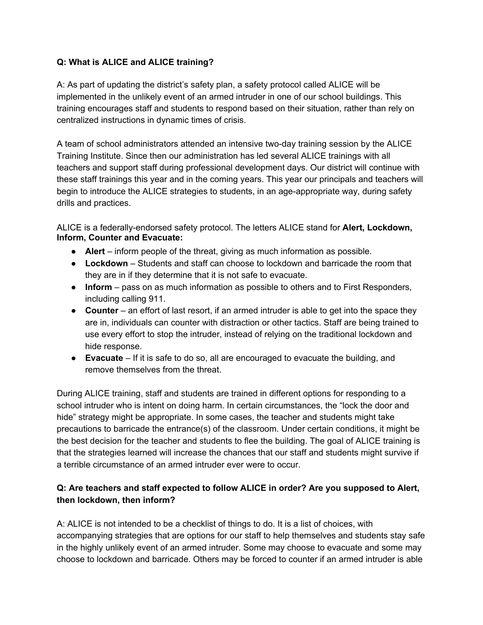## **Q: What is ALICE and ALICE training?**

A: As part of updating the district's safety plan, a safety protocol called ALICE will be implemented in the unlikely event of an armed intruder in one of our school buildings. This training encourages staff and students to respond based on their situation, rather than rely on centralized instructions in dynamic times of crisis.

A team of school administrators attended an intensive two-day training session by the ALICE Training Institute. Since then our administration has led several ALICE trainings with all teachers and support staff during professional development days. Our district will continue with these staff trainings this year and in the coming years. This year our principals and teachers will begin to introduce the ALICE strategies to students, in an age-appropriate way, during safety drills and practices.

ALICE is a federally-endorsed safety protocol. The letters ALICE stand for **Alert, Lockdown, Inform, Counter and Evacuate:** 

- **Alert** inform people of the threat, giving as much information as possible.
- **Lockdown** Students and staff can choose to lockdown and barricade the room that they are in if they determine that it is not safe to evacuate.
- **Inform** pass on as much information as possible to others and to First Responders, including calling 911.
- **Counter** an effort of last resort, if an armed intruder is able to get into the space they are in, individuals can counter with distraction or other tactics. Staff are being trained to use every effort to stop the intruder, instead of relying on the traditional lockdown and hide response.
- **Evacuate** If it is safe to do so, all are encouraged to evacuate the building, and remove themselves from the threat.

During ALICE training, staff and students are trained in different options for responding to a school intruder who is intent on doing harm. In certain circumstances, the "lock the door and hide" strategy might be appropriate. In some cases, the teacher and students might take precautions to barricade the entrance(s) of the classroom. Under certain conditions, it might be the best decision for the teacher and students to flee the building. The goal of ALICE training is that the strategies learned will increase the chances that our staff and students might survive if a terrible circumstance of an armed intruder ever were to occur.

# **Q: Are teachers and staff expected to follow ALICE in order? Are you supposed to Alert, then lockdown, then inform?**

A: ALICE is not intended to be a checklist of things to do. It is a list of choices, with accompanying strategies that are options for our staff to help themselves and students stay safe in the highly unlikely event of an armed intruder. Some may choose to evacuate and some may choose to lockdown and barricade. Others may be forced to counter if an armed intruder is able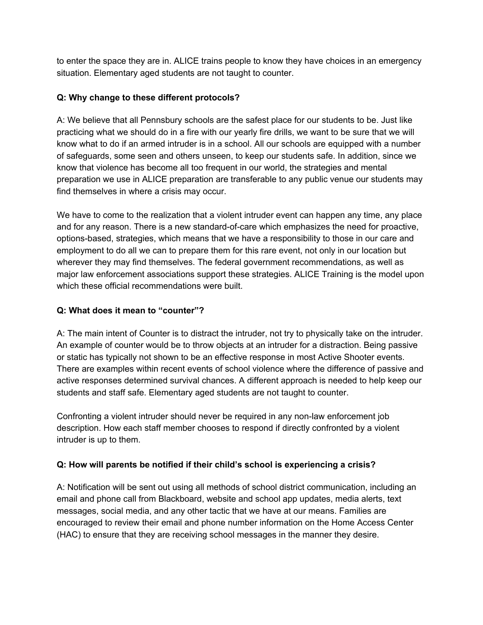to enter the space they are in. ALICE trains people to know they have choices in an emergency situation. Elementary aged students are not taught to counter.

## **Q: Why change to these different protocols?**

A: We believe that all Pennsbury schools are the safest place for our students to be. Just like practicing what we should do in a fire with our yearly fire drills, we want to be sure that we will know what to do if an armed intruder is in a school. All our schools are equipped with a number of safeguards, some seen and others unseen, to keep our students safe. In addition, since we know that violence has become all too frequent in our world, the strategies and mental preparation we use in ALICE preparation are transferable to any public venue our students may find themselves in where a crisis may occur.

We have to come to the realization that a violent intruder event can happen any time, any place and for any reason. There is a new standard-of-care which emphasizes the need for proactive, options-based, strategies, which means that we have a responsibility to those in our care and employment to do all we can to prepare them for this rare event, not only in our location but wherever they may find themselves. The federal government recommendations, as well as major law enforcement associations support these strategies. ALICE Training is the model upon which these official recommendations were built.

## **Q: What does it mean to "counter"?**

A: The main intent of Counter is to distract the intruder, not try to physically take on the intruder. An example of counter would be to throw objects at an intruder for a distraction. Being passive or static has typically not shown to be an effective response in most Active Shooter events. There are examples within recent events of school violence where the difference of passive and active responses determined survival chances. A different approach is needed to help keep our students and staff safe. Elementary aged students are not taught to counter.

Confronting a violent intruder should never be required in any non-law enforcement job description. How each staff member chooses to respond if directly confronted by a violent intruder is up to them.

#### **Q: How will parents be notified if their child's school is experiencing a crisis?**

A: Notification will be sent out using all methods of school district communication, including an email and phone call from Blackboard, website and school app updates, media alerts, text messages, social media, and any other tactic that we have at our means. Families are encouraged to review their email and phone number information on the Home Access Center (HAC) to ensure that they are receiving school messages in the manner they desire.